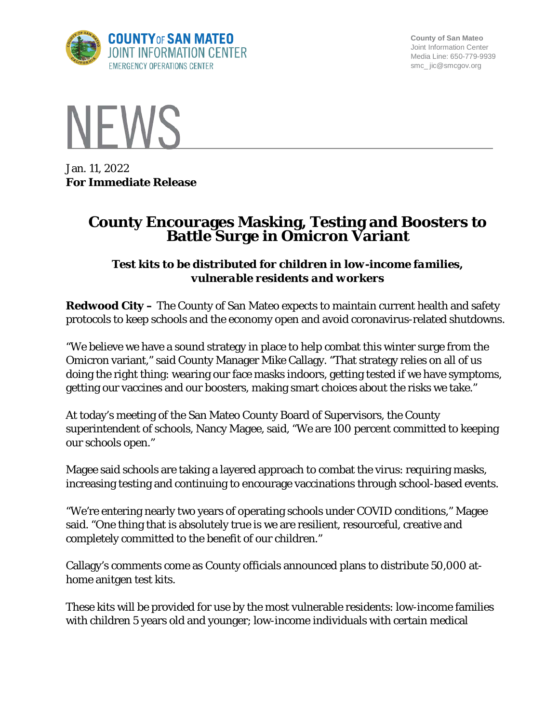

**County of San Mateo** Joint Information Center Media Line: 650-779-9939 smc\_ jic@smcgov.org



Jan. 11, 2022 **For Immediate Release**

# **County Encourages Masking, Testing and Boosters to Battle Surge in Omicron Variant**

# *Test kits to be distributed for children in low-income families, vulnerable residents and workers*

**Redwood City –** The County of San Mateo expects to maintain current health and safety protocols to keep schools and the economy open and avoid coronavirus-related shutdowns.

"We believe we have a sound strategy in place to help combat this winter surge from the Omicron variant," said County Manager Mike Callagy. "That strategy relies on all of us doing the right thing: wearing our face masks indoors, getting tested if we have symptoms, getting our vaccines and our boosters, making smart choices about the risks we take."

At today's meeting of the San Mateo County Board of Supervisors, the County superintendent of schools, Nancy Magee, said, "We are 100 percent committed to keeping our schools open."

Magee said schools are taking a layered approach to combat the virus: requiring masks, increasing testing and continuing to encourage vaccinations through school-based events.

"We're entering nearly two years of operating schools under COVID conditions," Magee said. "One thing that is absolutely true is we are resilient, resourceful, creative and completely committed to the benefit of our children."

Callagy's comments come as County officials announced plans to distribute 50,000 athome anitgen test kits.

These kits will be provided for use by the most vulnerable residents: low-income families with children 5 years old and younger; low-income individuals with certain medical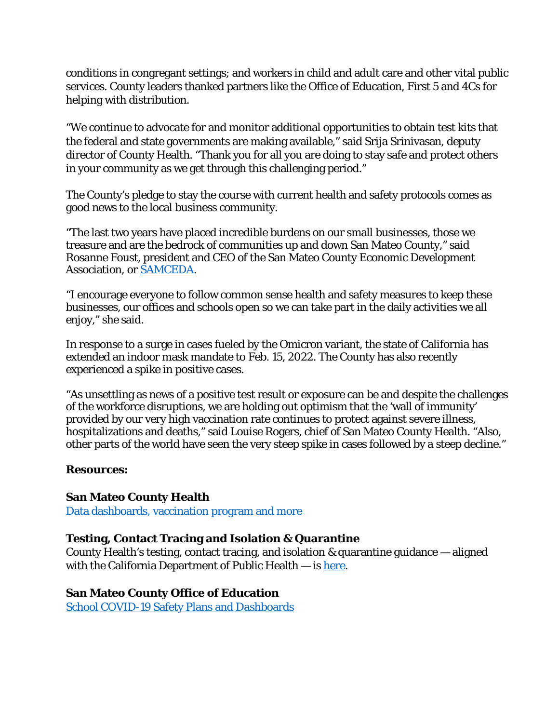conditions in congregant settings; and workers in child and adult care and other vital public services. County leaders thanked partners like the Office of Education, First 5 and 4Cs for helping with distribution.

"We continue to advocate for and monitor additional opportunities to obtain test kits that the federal and state governments are making available," said Srija Srinivasan, deputy director of County Health. "Thank you for all you are doing to stay safe and protect others in your community as we get through this challenging period."

The County's pledge to stay the course with current health and safety protocols comes as good news to the local business community.

"The last two years have placed incredible burdens on our small businesses, those we treasure and are the bedrock of communities up and down San Mateo County," said Rosanne Foust, president and CEO of the San Mateo County Economic Development Association, or [SAMCEDA.](https://www.samceda.org/)

"I encourage everyone to follow common sense health and safety measures to keep these businesses, our offices and schools open so we can take part in the daily activities we all enjoy," she said.

In response to a surge in cases fueled by the Omicron variant, the state of California has extended an indoor mask mandate to Feb. 15, 2022. The County has also recently experienced a spike in positive cases.

"As unsettling as news of a positive test result or exposure can be and despite the challenges of the workforce disruptions, we are holding out optimism that the 'wall of immunity' provided by our very high vaccination rate continues to protect against severe illness, hospitalizations and deaths," said Louise Rogers, chief of San Mateo County Health. "Also, other parts of the world have seen the very steep spike in cases followed by a steep decline."

#### **Resources:**

## **San Mateo County Health**

[Data dashboards, vaccination program and more](https://www.smchealth.org/coronavirus)

## **Testing, Contact Tracing and Isolation & Quarantine**

County Health's testing, contact tracing, and isolation & quarantine guidance — aligned with the California Department of Public Health  $-$  is [here.](https://www.smchealth.org/testing-contact-tracing)

#### **San Mateo County Office of Education**

[School COVID-19 Safety Plans and Dashboards](https://www.smcoe.org/for-communities/covid-19-resources/covid-19-school-plans-and-data.html)